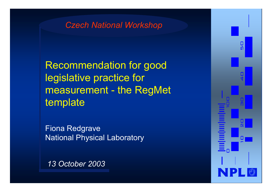#### *Czech National Workshop*

Recommendation for good legislative practice for measurement - the RegMet template

Fiona Redgrave National Physical Laboratory

*13 October 2003*

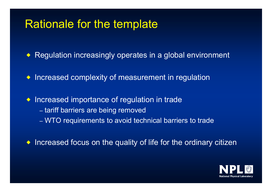#### Rationale for the template

◆ Regulation increasingly operates in a global environment

 $\bullet$  Increased complexity of measurement in regulation

 $\bullet$  Increased importance of regulation in trade –– tariff barriers are being removed –WTO requirements to avoid technical barriers to trade

 $\bullet$  Increased focus on the quality of life for the ordinary citizen

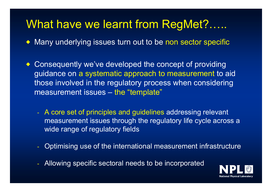### What have we learnt from RegMet?…..

◆ Many underlying issues turn out to be non sector specific

 $\blacklozenge$  Consequently we've developed the concept of providing guidance on a systematic approach to measurement to aid those involved in the regulatory process when considering measurement issues – the "template"

- A core set of principles and guidelines addressing relevant measurement issues through the regulatory life cycle across a wide range of regulatory fields
- Optimising use of the international measurement infrastructure
- Allowing specific sectoral needs to be incorporated

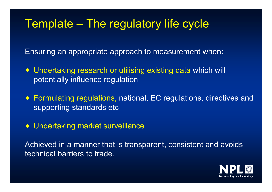## Template – The regulatory life cycle

Ensuring an appropriate approach to measurement when:

- ◆ Undertaking research or utilising existing data which will potentially influence regulation
- $\bullet\,$  Formulating regulations, national, EC regulations, directives an supporting standards etc
- Undertaking market surveillance
- Achieved in a manner that is transparent, consistent and avoids technical barriers to trade.

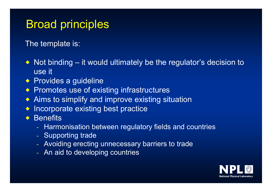## Broad principles

The template is:

- $\bullet\,$  Not binding it would ultimately be the regulator's decision to use it
- $\bullet\,$  Provides a guideline  $\bullet$
- $\bullet\,$  Promotes use of existing infrastructures
- $\bullet\,$  Aims to simplify and improve existing situation
- $\bullet$  Incorporate existing best practice
- $\bullet$  Benefits
	- Harmonisation between regulatory fields and countries
	- -- Supporting trade
	- Avoiding erecting unnecessary barriers to trade
	- An aid to developing countries

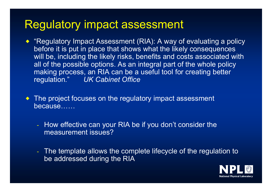#### Regulatory impact assessment

- $\blacklozenge$  "Regulatory Impact Assessment (RIA): A way of evaluating a policy before it is put in place that shows what the likely consequences will be, including the likely risks, benefits and costs associated with all of the possible options. As an integral part of the whole policy making process, an RIA can be a useful tool for creating better regulation." *UK Cabinet Office*
- $\blacklozenge$ The project focuses on the regulatory impact assessment because……
	- How effective can your RIA be if you don't consider the measurement issues?
	- - The template allows the complete lifecycle of the regulation to be addressed during the RIA

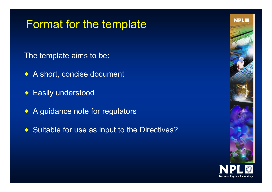## Format for the template

- The template aims to be:
- $\blacktriangleright$  A short, concise document
- $\blacktriangleright$  Easily understood
- A guidance note for regulators
- $\blacktriangleright$  Suitable for use as input to the Directives?

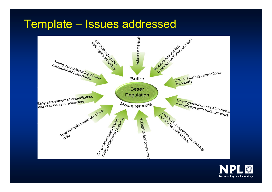#### Template - Issues addressed



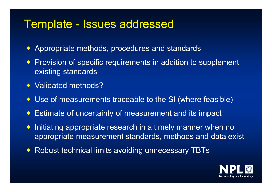#### Template - Issues addressed

- ◆ Appropriate methods, procedures and standards
- ◆ Provision of specific requirements in addition to supplement existing standards
- ◆ Validated methods?
- ◆ Use of measurements traceable to the SI (where feasible)
- ◆ Estimate of uncertainty of measurement and its impact
- $\bullet$  Initiating appropriate research in a timely manner when no appropriate measurement standards, methods and data exist
- ◆ Robust technical limits avoiding unnecessary TBTs

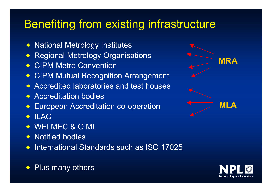## Benefiting from existing infrastructure

- ◆ National Metrology Institutes
- ◆ Regional Metrology Organisations
- ◆ CIPM Metre Convention
- ◆ CIPM Mutual Recognition Arrangement
- ◆ Accredited laboratories and test houses
- ◆ Accreditation bodies
- ◆ European Accreditation co-operation
- $\bullet$  ILAC
- ◆ WELMEC & OIML
- ◆ Notified bodies
- $\blacklozenge$  International Standards such as ISO 17025





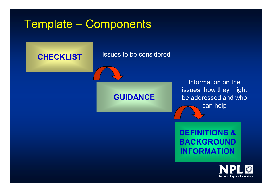## Template – Components



#### **DEFINITIONS & BACKGROUND INFORMATION**

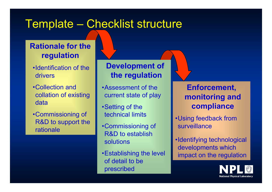## Template – Checklist structure

#### **Rationale for the regulation**

- •Identification of the drivers
- •Collection and collation of existing data
- •Commissioning of R&D to support the rationale

**Development of the regulation**

- •Assessment of the current state of play
- •Setting of the technical limits
- •Commissioning of R&D to establish solutions
- •Establishing the level of detail to be prescribed

**Enforcement, monitoring and compliance**

- •Using feedback from surveillance
- •Identifying technological developments which impact on the regulation

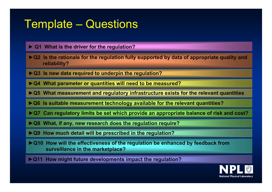## Template – Questions

**► Q1 What is the driver for the regulation?**

► **Q2** Is the rationale for the regulation fully supported by data of appropriate quality and **reliability?**

- **►Q3 Is new data required to underpin the regulation?**
- **►Q4 What parameter or quantities will need to be measured?**
- **►Q5 What measurement and regulatory infrastructure exists for the relevant quantities**
- **►Q6 Is suitable measurement technology available for the relevant quantities?**
- **►Q7 Can regulatory limits be set which provide an appropriate balance of risk and cost?**
- **►Q8 What, if any, new research does the regulation require?**
- **►Q9 How much detail will be prescribed in the regulation?**
- **►Q10 How will the effectiveness of the regulation be enhanced by feedback from surveillance in the marketplace?**
- **►Q11 How might future developments impact the regulation?**

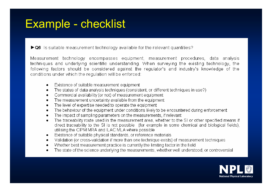## **Example - checklist**

 $\blacktriangleright$  Q6 is suitable measurement technology available for the relevant quantities?

Measurement technology encompasses equipment, measurement procedures, data analysis techniques and underlying scientific understanding. When surveying the existing technology, the following factors should be considered against the regulator's and industry's knowledge of the conditions under which the regulation will be enforced:

- Existence of suitable measurement equipment ٠
- The status of data analysis techniques (consistent, or different techniques in use?) ٠
- Commercial availability (or not) of measurement equipment ٠
- The measurement uncertainty available from the equipment  $\bullet$
- The level of expertise needed to operate the equipment ٠
- The behaviour of the equipment under conditions likely to be encountered during enforcement ٠
- The impact of sampling parameters on the measurements, if relevant ٠
- The traceability route used in the measurement area, whether to the SI or other specified means if  $\bullet$ direct traceability to the SI is not possible (for example in some chemical and biological fields), utilising the CIPM MRA and ILAC MLA where possible
- Existence of suitable physical standards, or reference materials ٠
- Validation (or cross-validation if more than one technique exists) of measurement techniques ٠
- Whether best measurement practice is currently the limiting factor in the field ٠
- The state of the science underlying the measurements, whether well understood, or controversial ٠

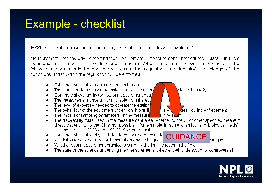## Example - checklist

 $\blacktriangleright$  Q6 is suitable measurement technology available for the relevant quantities?

Measurement technology encompasses equipment, measurement procedures, data analysis techniques and underlying scientific understanding. When surveying the existing technology, the following factors should be considered against the regulator's and industry's knowledge of the conditions under which the regulation will be enforced:

- Existence of suitable measurement equipment ٠
- The status of data analysis techniques (consistent, or ٠
- Commercial availability (or not) of measurement equi ٠
- The measurement uncertainty available from the equ  $\bullet$
- The level of expertise needed to operate the equipm ٠
- The behaviour of the equipment under conditions lik  $\bullet$
- The impact of sampling parameters on the measure ٠
- The traceability route used in the measurement area, whether to the SI or other specified means if  $\bullet$ direct traceability to the SI is not possible (for example in some chemical and biological fields), utilising the CIPM MRA and ILAC MLA where possible
- Existence of suitable physical standards, or reference mate GUIDANCE<br>Validation (or cross-validation if more than one technique e ٠
- .
- Whether best measurement practice is currently the limiting factor in the field ٠
- The state of the science underlying the measurements, whether well understood, or controversial ٠





hniaues: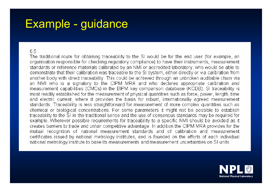## Example - guidance

6.5

The traditional route for obtaining traceability to the SI would be for the end user (for example, an organisation responsible for checking regulatory compliance) to have their instruments, measurement standards or reference materials calibrated by an NMI or accredited laboratory, who would be able to demonstrate that their calibration was traceable to the SI system, either directly or via calibration from another body with direct traceability. This could be achieved through an unbroken auditable chain via an NMI who is a signatory to the CIPM MRA and who declares appropriate calibration and measurement capabilities (CMCs) in the BIPM key comparison database (KCDB). SI traceability is most readily established for the measurement of physical quantities such as force, power, length, time and electric current, where it provides the basis for robust, internationally agreed measurement standards. Traceability is less straightforward for measurement of more complex quantities such as chemical or biological concentrations. For some parameters it might not be possible to establish traceability to the SI in the traditional sense and the use of consensus standards may be required for example. Wherever possible requirements for traceability to a specific NMI should be avoided as it creates barriers to trade and unfair competitive advantage. In addition the CIPM MRA provides for the mutual recognition of national measurement standards and of calibration and measurement certificates issued by national metrology institutes, and is founded on the efforts of each individual national metrology institute to base its measurements and measurement uncertainties on SI units.

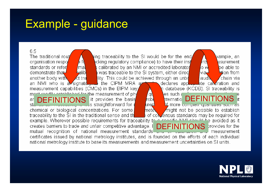## Example - guidance

6.5 The traditional rout  $\mathbf y$ ing traceability to the SI would be for the end, xample, an ecking regulatory compliance) to have their inst organisation respo e fo ints asurement standards or refer calibrated by an NMI or accredited laborator be able to mal οw was traceable to the SI system, either direct demonstrate that lealib **Etion** from via√ another body with ility. This could be achieved through an unb∦ ct tra chain via audN an NMI who is a signatd, but the CIPM MRA and declares app-senate calibration and n database (KCDB). SI traceability is measurement capabilities (CMCs) in the BIPM key at modify octoblished for the measurement of physical problemations and the measurement of physical problemations of the measurement of physical problemations of the measurement of physical problemations of the more comple les such a DEFINITIONSar stl urem chemical or biological concentrations. For some might not be possible to establish mete. of concensus standards may be required for traceability to the SI in the traditional sense and the cific NML chould be avoided as it example. Wherever possible requirements for traceability to creates barriers to trade and unfair competitive advantage. I DEFINITIONSprovides for the mutual recognition of national measurement standards measurement ana or campragoncertificates issued by national metrology institutes, and is founded on the efforts of each individual national metrology institute to base its measurements and measurement uncertainties on SI units.

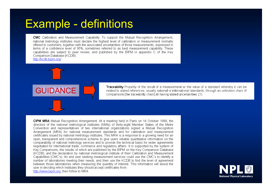### **Example - definitions**

**CMC** Calibration and Measurement Capability. To support the Mutual Recognition Arrangement, national metrology institutes must declare the highest level of calibration or measurement normally offered to customers, together with the associated uncertainties of those measurements, expressed in terms of a confidence level of 95%, sometimes referred to as best measurement capability. These capabilities are subject to peer review, and published by the BIPM in appendix C of the Key Comparison Database (KCDB).

http://kcdb.bipm.org/



Traceability Property of the result of a measurement or the value of a standard whereby it can be related to stated references, usually national or international standards, through an unbroken chain o comparisons [the traceability chain] all having stated uncertainties. (1)

CIPM MRA Mutual Recognition Arrangement. At a meeting held in Paris on 14 October 1999, the directors of the national metrological institutes (NMIs) of thirty-eight Member States of the Metre Convention and representatives of two international organizations signed a Mutual Recognition Arrangement (MRA) for national measurement standards and for calibration and measurement certificates issued by national metrology institutes. This MRA is a response to a growing need for an open, transparent and comprehensive scheme to give users reliable quantitative information on the comparability of national metrology services and to provide the technical basis for wider agreements negotiated for international trade, commerce and regulatory affairs. It is supported by the system of Key Comparisons, the results of which are published by the BIPM on the Key Comparison Database (KCDB), and the declaration by national metrological institute of their Calibration and Measurement Capabilities (CMC's). An end user seeking measurement services could use the CMC's to identify a number of laboratories meeting their needs, and then use the KCDB to find the level of agreement between those laboratories when measuring the quantity of interest. This information will assist the user in deciding which institutes they should accept certificates from. http://www.bipm.org. then follow to MRA

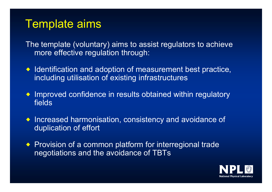### Template aims

The template (voluntary) aims to assist regulators to achieve more effective regulation through:

- $\blacklozenge$  Identification and adoption of measurement best practice, including utilisation of existing infrastructures
- $\bullet$  Improved confidence in results obtained within regulatory fields
- $\blacklozenge$  Increased harmonisation, consistency and avoidance of duplication of effort
- ◆ Provision of a common platform for interregional trade negotiations and the avoidance of TBTs

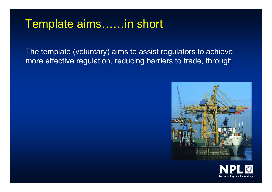#### Template aims……in short

The template (voluntary) aims to assist regulators to achieve more effective regulation, reducing barriers to trade, through:



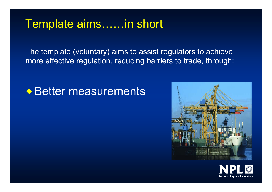#### Template aims……in short

The template (voluntary) aims to assist regulators to achieve more effective regulation, reducing barriers to trade, through:

### ◆ Better measurements



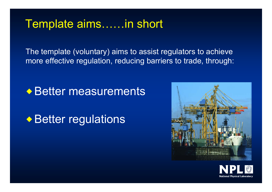#### Template aims……in short

The template (voluntary) aims to assist regulators to achieve more effective regulation, reducing barriers to trade, through:

#### ◆ Better measurements

◆ Better regulations